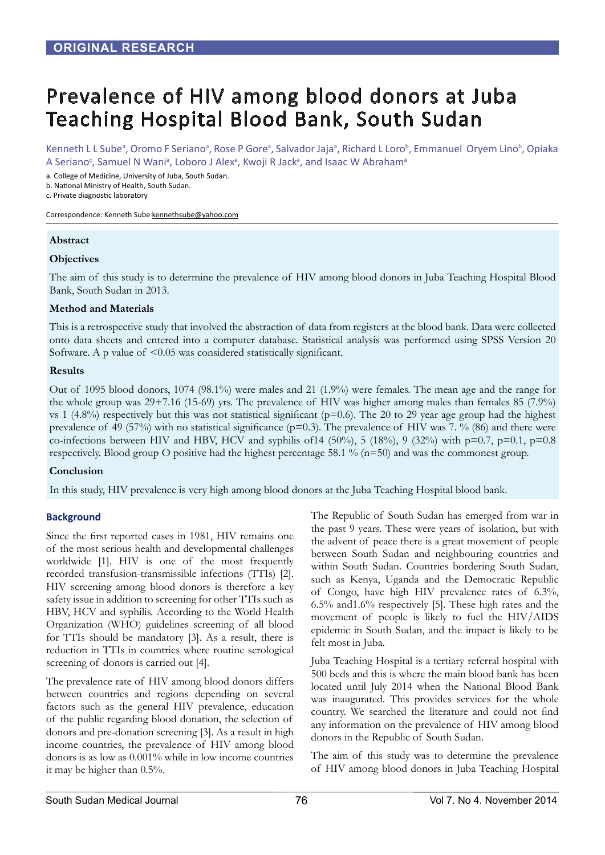# Prevalence of HIV among blood donors at Juba Teaching Hospital Blood Bank, South Sudan

Kenneth L L Sube<sup>a</sup>, Oromo F Seriano<sup>a</sup>, Rose P Gore<sup>a</sup>, Salvador Jaja<sup>a</sup>, Richard L Loro<sup>b</sup>, Emmanuel Oryem Lino<sup>b</sup>, Opiaka A Seriano<sup>c</sup>, Samuel N Wani<sup>a</sup>, Loboro J Alex<sup>a</sup>, Kwoji R Jack<sup>a</sup>, and Isaac W Abraham<sup>a</sup>

a. College of Medicine, University of Juba, South Sudan.

b. National Ministry of Health, South Sudan.

c. Private diagnostic laboratory

Correspondence: Kenneth Sube kennethsube@yahoo.com

## **Abstract**

## **Objectives**

The aim of this study is to determine the prevalence of HIV among blood donors in Juba Teaching Hospital Blood Bank, South Sudan in 2013.

## **Method and Materials**

This is a retrospective study that involved the abstraction of data from registers at the blood bank. Data were collected onto data sheets and entered into a computer database. Statistical analysis was performed using SPSS Version 20 Software. A p value of  $\leq 0.05$  was considered statistically significant.

## **Results**

Out of 1095 blood donors, 1074 (98.1%) were males and 21 (1.9%) were females. The mean age and the range for the whole group was 29+7.16 (15-69) yrs. The prevalence of HIV was higher among males than females 85 (7.9%) vs 1  $(4.8\%)$  respectively but this was not statistical significant ( $p=0.6$ ). The 20 to 29 year age group had the highest prevalence of 49 (57%) with no statistical significance ( $p=0.3$ ). The prevalence of HIV was 7. % (86) and there were co-infections between HIV and HBV, HCV and syphilis of 14 (50%), 5 (18%), 9 (32%) with  $p=0.7$ ,  $p=0.1$ ,  $p=0.8$ respectively. Blood group O positive had the highest percentage 58.1 % (n=50) and was the commonest group.

## **Conclusion**

In this study, HIV prevalence is very high among blood donors at the Juba Teaching Hospital blood bank.

## **Background**

Since the first reported cases in 1981, HIV remains one of the most serious health and developmental challenges worldwide [1]. HIV is one of the most frequently recorded transfusion-transmissible infections (TTIs) [2]. HIV screening among blood donors is therefore a key safety issue in addition to screening for other TTIs such as HBV, HCV and syphilis. According to the World Health Organization (WHO) guidelines screening of all blood for TTIs should be mandatory [3]. As a result, there is reduction in TTIs in countries where routine serological screening of donors is carried out [4].

The prevalence rate of HIV among blood donors differs between countries and regions depending on several factors such as the general HIV prevalence, education of the public regarding blood donation, the selection of donors and pre-donation screening [3]. As a result in high income countries, the prevalence of HIV among blood donors is as low as 0.001% while in low income countries it may be higher than 0.5%.

The Republic of South Sudan has emerged from war in the past 9 years. These were years of isolation, but with the advent of peace there is a great movement of people between South Sudan and neighbouring countries and within South Sudan. Countries bordering South Sudan, such as Kenya, Uganda and the Democratic Republic of Congo, have high HIV prevalence rates of 6.3%, 6.5% and1.6% respectively [5]. These high rates and the movement of people is likely to fuel the HIV/AIDS epidemic in South Sudan, and the impact is likely to be felt most in Juba.

Juba Teaching Hospital is a tertiary referral hospital with 500 beds and this is where the main blood bank has been located until July 2014 when the National Blood Bank was inaugurated. This provides services for the whole country. We searched the literature and could not find any information on the prevalence of HIV among blood donors in the Republic of South Sudan.

The aim of this study was to determine the prevalence of HIV among blood donors in Juba Teaching Hospital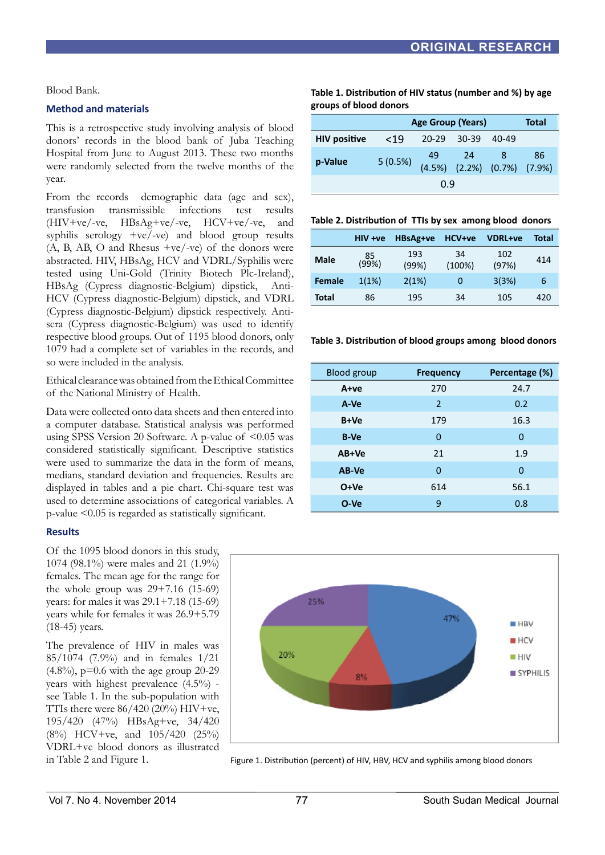Blood Bank.

## **Method and materials**

This is a retrospective study involving analysis of blood donors' records in the blood bank of Juba Teaching Hospital from June to August 2013. These two months were randomly selected from the twelve months of the year.

From the records demographic data (age and sex), transfusion transmissible infections test results (HIV+ve/-ve, HBsAg+ve/-ve, HCV+ve/-ve, and syphilis serology +ve/-ve) and blood group results  $(A, B, AB, O, and Rhesus +ve/~ve)$  of the donors were abstracted. HIV, HBsAg, HCV and VDRL/Syphilis were tested using Uni-Gold (Trinity Biotech Plc-Ireland), HBsAg (Cypress diagnostic-Belgium) dipstick, Anti-HCV (Cypress diagnostic-Belgium) dipstick, and VDRL (Cypress diagnostic-Belgium) dipstick respectively. Antisera (Cypress diagnostic-Belgium) was used to identify respective blood groups. Out of 1195 blood donors, only 1079 had a complete set of variables in the records, and so were included in the analysis.

Ethical clearance was obtained from the Ethical Committee of the National Ministry of Health.

Data were collected onto data sheets and then entered into a computer database. Statistical analysis was performed using SPSS Version 20 Software. A p-value of <0.05 was considered statistically significant. Descriptive statistics were used to summarize the data in the form of means, medians, standard deviation and frequencies. Results are displayed in tables and a pie chart. Chi-square test was used to determine associations of categorical variables. A p-value <0.05 is regarded as statistically significant.

### **Results**

Of the 1095 blood donors in this study, 1074 (98.1%) were males and 21 (1.9%) females. The mean age for the range for the whole group was  $29+7.16$  (15-69) years: for males it was 29.1+7.18 (15-69) years while for females it was 26.9+5.79 (18-45) years.

The prevalence of HIV in males was 85/1074 (7.9%) and in females 1/21  $(4.8\%)$ , p=0.6 with the age group 20-29 years with highest prevalence (4.5%) see Table 1. In the sub-population with TTIs there were  $86/420(20%)$  HIV+ve, 195/420 (47%) HBsAg+ve, 34/420 (8%) HCV+ve, and 105/420 (25%) VDRL+ve blood donors as illustrated in Table 2 and Figure 1.

**Table 1. Distribution of HIV status (number and %) by age groups of blood donors**

|                     | <b>Age Group (Years)</b> |                   |                                           |  | Total |
|---------------------|--------------------------|-------------------|-------------------------------------------|--|-------|
| <b>HIV positive</b> | < 19                     | 20-29 30-39 40-49 |                                           |  |       |
| p-Value             | 5(0.5%)                  |                   | 49 24 8 86<br>(4.5%) (2.2%) (0.7%) (7.9%) |  |       |
|                     | 0.9                      |                   |                                           |  |       |

**Table 2. Distribution of TTIs by sex among blood donors**

|               | HIV +ve     | HBsAg+ve     | HCV+ve       | <b>VDRL+ve</b> | <b>Total</b> |
|---------------|-------------|--------------|--------------|----------------|--------------|
| <b>Male</b>   | 85<br>(99%) | 193<br>(99%) | 34<br>(100%) | 102<br>(97%)   | 414          |
| <b>Female</b> | 1(1%)       | 2(1%)        | O            | 3(3%)          | 6            |
| Total         | 86          | 195          | 34           | 105            | 420          |

**Table 3. Distribution of blood groups among blood donors**

| <b>Blood group</b> | <b>Frequency</b> | Percentage (%) |
|--------------------|------------------|----------------|
| A+ve               | 270              | 24.7           |
| A-Ve               | 2                | 0.2            |
| B+Ve               | 179              | 16.3           |
| <b>B-Ve</b>        | 0                | 0              |
| AB+Ve              | 21               | 1.9            |
| AB-Ve              | 0                | 0              |
| $O+Ve$             | 614              | 56.1           |
| $O-Ve$             | 9                | 0.8            |



Figure 1. Distribution (percent) of HIV, HBV, HCV and syphilis among blood donors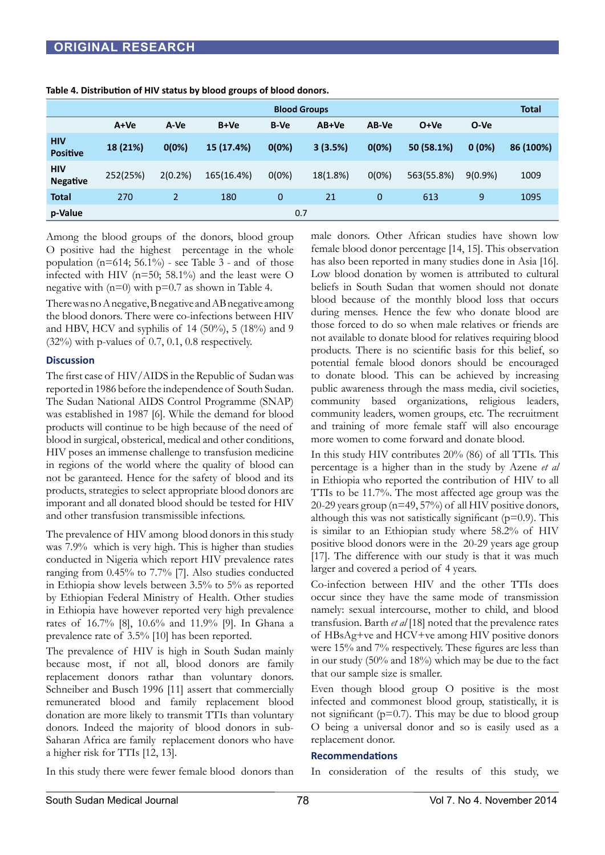| <b>Blood Groups</b>           |          |                |            |             |          | <b>Total</b> |            |            |           |
|-------------------------------|----------|----------------|------------|-------------|----------|--------------|------------|------------|-----------|
|                               | $A+Ve$   | A-Ve           | B+Ve       | <b>B-Ve</b> | AB+Ve    | AB-Ve        | $O+Ve$     | O-Ve       |           |
| <b>HIV</b><br><b>Positive</b> | 18 (21%) | 0(0%)          | 15 (17.4%) | 0(0%)       | 3(3.5%)  | 0(0%)        | 50 (58.1%) | 0(0%)      | 86 (100%) |
| <b>HIV</b><br><b>Negative</b> | 252(25%) | 2(0.2%)        | 165(16.4%) | $0(0\%)$    | 18(1.8%) | 0(0%)        | 563(55.8%) | $9(0.9\%)$ | 1009      |
| <b>Total</b>                  | 270      | $\overline{2}$ | 180        | $\mathbf 0$ | 21       | 0            | 613        | 9          | 1095      |
| p-Value                       |          |                |            | 0.7         |          |              |            |            |           |

**Table 4. Distribution of HIV status by blood groups of blood donors.**

Among the blood groups of the donors, blood group O positive had the highest percentage in the whole population ( $n=614$ ; 56.1%) - see Table 3 - and of those infected with HIV ( $n=50$ ; 58.1%) and the least were O negative with  $(n=0)$  with  $p=0.7$  as shown in Table 4.

There was no A negative, B negative and AB negative among the blood donors. There were co-infections between HIV and HBV, HCV and syphilis of 14 (50%), 5 (18%) and 9  $(32\%)$  with p-values of 0.7, 0.1, 0.8 respectively.

### **Discussion**

The first case of HIV/AIDS in the Republic of Sudan was reported in 1986 before the independence of South Sudan. The Sudan National AIDS Control Programme (SNAP) was established in 1987 [6]. While the demand for blood products will continue to be high because of the need of blood in surgical, obsterical, medical and other conditions, HIV poses an immense challenge to transfusion medicine in regions of the world where the quality of blood can not be garanteed. Hence for the safety of blood and its products, strategies to select appropriate blood donors are imporant and all donated blood should be tested for HIV and other transfusion transmissible infections.

The prevalence of HIV among blood donors in this study was 7.9% which is very high. This is higher than studies conducted in Nigeria which report HIV prevalence rates ranging from 0.45% to 7.7% [7]. Also studies conducted in Ethiopia show levels between 3.5% to 5% as reported by Ethiopian Federal Ministry of Health. Other studies in Ethiopia have however reported very high prevalence rates of 16.7% [8], 10.6% and 11.9% [9]. In Ghana a prevalence rate of 3.5% [10] has been reported.

The prevalence of HIV is high in South Sudan mainly because most, if not all, blood donors are family replacement donors rathar than voluntary donors. Schneiber and Busch 1996 [11] assert that commercially remunerated blood and family replacement blood donation are more likely to transmit TTIs than voluntary donors. Indeed the majority of blood donors in sub-Saharan Africa are family replacement donors who have a higher risk for TTIs [12, 13].

In this study there were fewer female blood donors than

male donors. Other African studies have shown low female blood donor percentage [14, 15]. This observation has also been reported in many studies done in Asia [16]. Low blood donation by women is attributed to cultural beliefs in South Sudan that women should not donate blood because of the monthly blood loss that occurs during menses. Hence the few who donate blood are those forced to do so when male relatives or friends are not available to donate blood for relatives requiring blood products. There is no scientific basis for this belief, so potential female blood donors should be encouraged to donate blood. This can be achieved by increasing public awareness through the mass media, civil societies, community based organizations, religious leaders, community leaders, women groups, etc. The recruitment and training of more female staff will also encourage more women to come forward and donate blood.

In this study HIV contributes 20% (86) of all TTIs. This percentage is a higher than in the study by Azene *et al*  in Ethiopia who reported the contribution of HIV to all TTIs to be 11.7%. The most affected age group was the 20-29 years group (n=49, 57%) of all HIV positive donors, although this was not satistically significant  $(p=0.9)$ . This is similar to an Ethiopian study where 58.2% of HIV positive blood donors were in the 20-29 years age group [17]. The difference with our study is that it was much larger and covered a period of 4 years.

Co-infection between HIV and the other TTIs does occur since they have the same mode of transmission namely: sexual intercourse, mother to child, and blood transfusion. Barth *et al* [18] noted that the prevalence rates of HBsAg+ve and HCV+ve among HIV positive donors were 15% and 7% respectively. These figures are less than in our study (50% and 18%) which may be due to the fact that our sample size is smaller.

Even though blood group O positive is the most infected and commonest blood group, statistically, it is not significant ( $p=0.7$ ). This may be due to blood group O being a universal donor and so is easily used as a replacement donor.

#### **Recommendations**

In consideration of the results of this study, we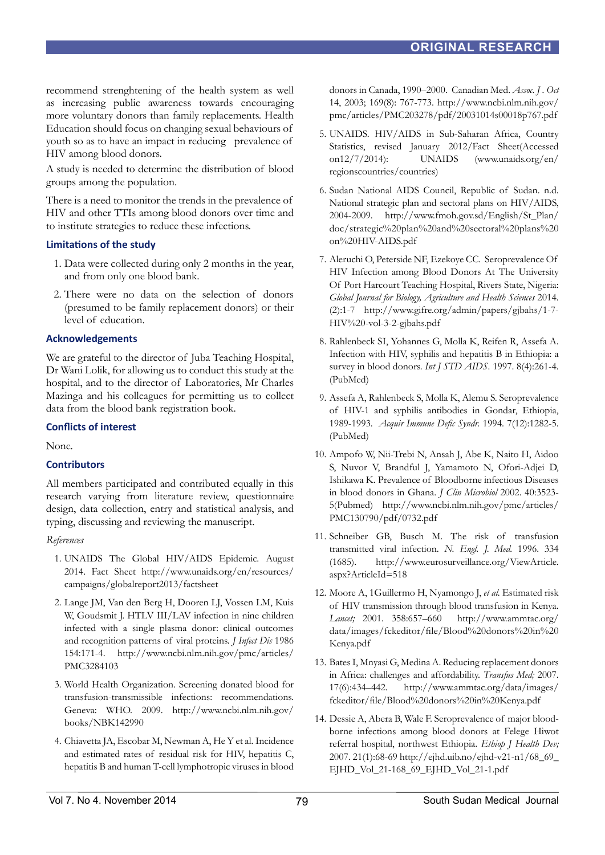recommend strenghtening of the health system as well as increasing public awareness towards encouraging more voluntary donors than family replacements. Health Education should focus on changing sexual behaviours of youth so as to have an impact in reducing prevalence of HIV among blood donors.

A study is needed to determine the distribution of blood groups among the population.

There is a need to monitor the trends in the prevalence of HIV and other TTIs among blood donors over time and to institute strategies to reduce these infections.

## **Limitations of the study**

- 1. Data were collected during only 2 months in the year, and from only one blood bank.
- 2. There were no data on the selection of donors (presumed to be family replacement donors) or their level of education.

## **Acknowledgements**

We are grateful to the director of Juba Teaching Hospital, Dr Wani Lolik, for allowing us to conduct this study at the hospital, and to the director of Laboratories, Mr Charles Mazinga and his colleagues for permitting us to collect data from the blood bank registration book.

## **Conflicts of interest**

None.

## **Contributors**

All members participated and contributed equally in this research varying from literature review, questionnaire design, data collection, entry and statistical analysis, and typing, discussing and reviewing the manuscript.

### *References*

- 1. UNAIDS The Global HIV/AIDS Epidemic. August 2014. Fact Sheet http://www.unaids.org/en/resources/ campaigns/globalreport2013/factsheet
- 2. Lange JM, Van den Berg H, Dooren LJ, Vossen LM, Kuis W, Goudsmit J. HTLV III/LAV infection in nine children infected with a single plasma donor: clinical outcomes and recognition patterns of viral proteins. *J Infect Dis* 1986 154:171-4. http://www.ncbi.nlm.nih.gov/pmc/articles/ PMC3284103
- 3. World Health Organization. Screening donated blood for transfusion-transmissible infections: recommendations. Geneva: WHO. 2009. http://www.ncbi.nlm.nih.gov/ books/NBK142990
- 4. Chiavetta JA, Escobar M, Newman A, He Y et al. Incidence and estimated rates of residual risk for HIV, hepatitis C, hepatitis B and human T-cell lymphotropic viruses in blood

donors in Canada, 1990–2000. Canadian Med. *Assoc. J . Oct*  14, 2003; 169(8): 767-773. http://www.ncbi.nlm.nih.gov/ pmc/articles/PMC203278/pdf/20031014s00018p767.pdf

- 5. UNAIDS. HIV/AIDS in Sub-Saharan Africa, Country Statistics, revised January 2012/Fact Sheet(Accessed on12/7/2014): UNAIDS (www.unaids.org/en/ regionscountries/countries)
- 6. Sudan National AIDS Council, Republic of Sudan. n.d. National strategic plan and sectoral plans on HIV/AIDS, 2004-2009. http://www.fmoh.gov.sd/English/St\_Plan/ doc/strategic%20plan%20and%20sectoral%20plans%20 on%20HIV-AIDS.pdf
- 7. Aleruchi O, Peterside NF, Ezekoye CC. Seroprevalence Of HIV Infection among Blood Donors At The University Of Port Harcourt Teaching Hospital, Rivers State, Nigeria: *Global Journal for Biology, Agriculture and Health Sciences* 2014. (2):1-7 http://www.gifre.org/admin/papers/gjbahs/1-7- HIV%20-vol-3-2-gjbahs.pdf
- 8. Rahlenbeck SI, Yohannes G, Molla K, Reifen R, Assefa A. Infection with HIV, syphilis and hepatitis B in Ethiopia: a survey in blood donors. *Int J STD AIDS.* 1997. 8(4):261-4. (PubMed)
- 9. Assefa A, Rahlenbeck S, Molla K, Alemu S. Seroprevalence of HIV-1 and syphilis antibodies in Gondar, Ethiopia, 1989-1993. *Acquir Immune Defic Syndr.* 1994. 7(12):1282-5. (PubMed)
- 10. Ampofo W, Nii-Trebi N, Ansah J, Abe K, Naito H, Aidoo S, Nuvor V, Brandful J, Yamamoto N, Ofori-Adjei D, Ishikawa K. Prevalence of Bloodborne infectious Diseases in blood donors in Ghana. *J Clin Microbiol* 2002. 40:3523- 5(Pubmed) http://www.ncbi.nlm.nih.gov/pmc/articles/ PMC130790/pdf/0732.pdf
- 11. Schneiber GB, Busch M. The risk of transfusion transmitted viral infection. *N. Engl. J. Med.* 1996. 334 (1685). http://www.eurosurveillance.org/ViewArticle. aspx?ArticleId=518
- 12. Moore A, 1Guillermo H, Nyamongo J, *et al.* Estimated risk of HIV transmission through blood transfusion in Kenya. *Lancet;* 2001. 358:657–660 http://www.ammtac.org/ data/images/fckeditor/file/Blood%20donors%20in%20 Kenya.pdf
- 13. Bates I, Mnyasi G, Medina A. Reducing replacement donors in Africa: challenges and affordability. *Transfus Med;* 2007. 17(6):434–442. http://www.ammtac.org/data/images/ fckeditor/file/Blood%20donors%20in%20Kenya.pdf
- 14. Dessie A, Abera B, Wale F. Seroprevalence of major bloodborne infections among blood donors at Felege Hiwot referral hospital, northwest Ethiopia. *Ethiop J Health Dev;* 2007. 21(1):68-69 http://ejhd.uib.no/ejhd-v21-n1/68\_69\_ EJHD\_Vol\_21-168\_69\_EJHD\_Vol\_21-1.pdf